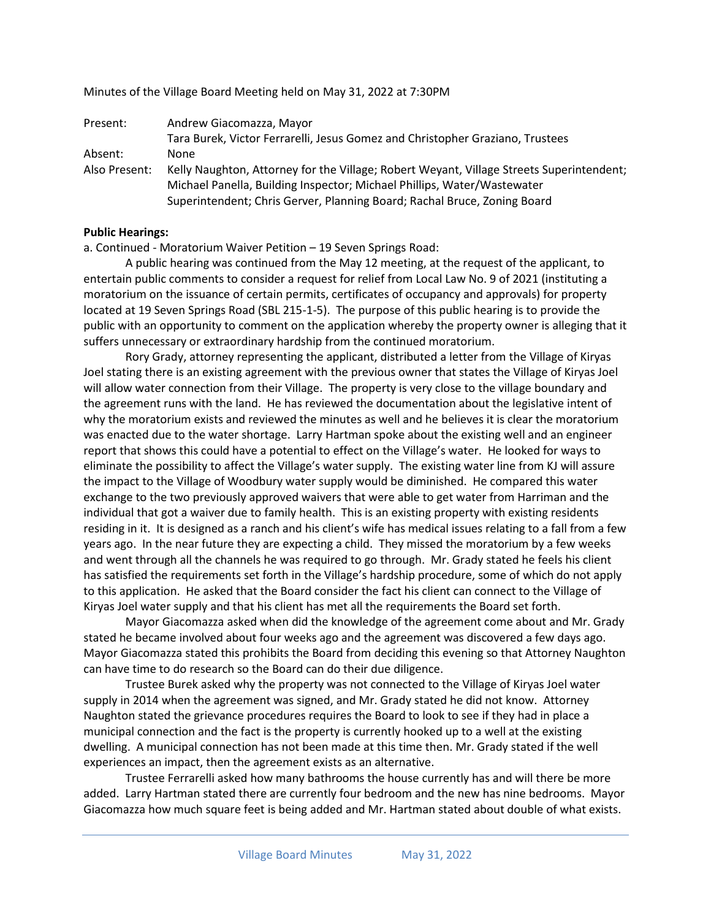Present: Andrew Giacomazza, Mayor Tara Burek, Victor Ferrarelli, Jesus Gomez and Christopher Graziano, Trustees Absent: None Also Present: Kelly Naughton, Attorney for the Village; Robert Weyant, Village Streets Superintendent; Michael Panella, Building Inspector; Michael Phillips, Water/Wastewater Superintendent; Chris Gerver, Planning Board; Rachal Bruce, Zoning Board

### **Public Hearings:**

a. Continued - Moratorium Waiver Petition – 19 Seven Springs Road:

Minutes of the Village Board Meeting held on May 31, 2022 at 7:30PM

A public hearing was continued from the May 12 meeting, at the request of the applicant, to entertain public comments to consider a request for relief from Local Law No. 9 of 2021 (instituting a moratorium on the issuance of certain permits, certificates of occupancy and approvals) for property located at 19 Seven Springs Road (SBL 215-1-5). The purpose of this public hearing is to provide the public with an opportunity to comment on the application whereby the property owner is alleging that it suffers unnecessary or extraordinary hardship from the continued moratorium.

Rory Grady, attorney representing the applicant, distributed a letter from the Village of Kiryas Joel stating there is an existing agreement with the previous owner that states the Village of Kiryas Joel will allow water connection from their Village. The property is very close to the village boundary and the agreement runs with the land. He has reviewed the documentation about the legislative intent of why the moratorium exists and reviewed the minutes as well and he believes it is clear the moratorium was enacted due to the water shortage. Larry Hartman spoke about the existing well and an engineer report that shows this could have a potential to effect on the Village's water. He looked for ways to eliminate the possibility to affect the Village's water supply. The existing water line from KJ will assure the impact to the Village of Woodbury water supply would be diminished. He compared this water exchange to the two previously approved waivers that were able to get water from Harriman and the individual that got a waiver due to family health. This is an existing property with existing residents residing in it. It is designed as a ranch and his client's wife has medical issues relating to a fall from a few years ago. In the near future they are expecting a child. They missed the moratorium by a few weeks and went through all the channels he was required to go through. Mr. Grady stated he feels his client has satisfied the requirements set forth in the Village's hardship procedure, some of which do not apply to this application. He asked that the Board consider the fact his client can connect to the Village of Kiryas Joel water supply and that his client has met all the requirements the Board set forth.

Mayor Giacomazza asked when did the knowledge of the agreement come about and Mr. Grady stated he became involved about four weeks ago and the agreement was discovered a few days ago. Mayor Giacomazza stated this prohibits the Board from deciding this evening so that Attorney Naughton can have time to do research so the Board can do their due diligence.

Trustee Burek asked why the property was not connected to the Village of Kiryas Joel water supply in 2014 when the agreement was signed, and Mr. Grady stated he did not know. Attorney Naughton stated the grievance procedures requires the Board to look to see if they had in place a municipal connection and the fact is the property is currently hooked up to a well at the existing dwelling. A municipal connection has not been made at this time then. Mr. Grady stated if the well experiences an impact, then the agreement exists as an alternative.

Trustee Ferrarelli asked how many bathrooms the house currently has and will there be more added. Larry Hartman stated there are currently four bedroom and the new has nine bedrooms. Mayor Giacomazza how much square feet is being added and Mr. Hartman stated about double of what exists.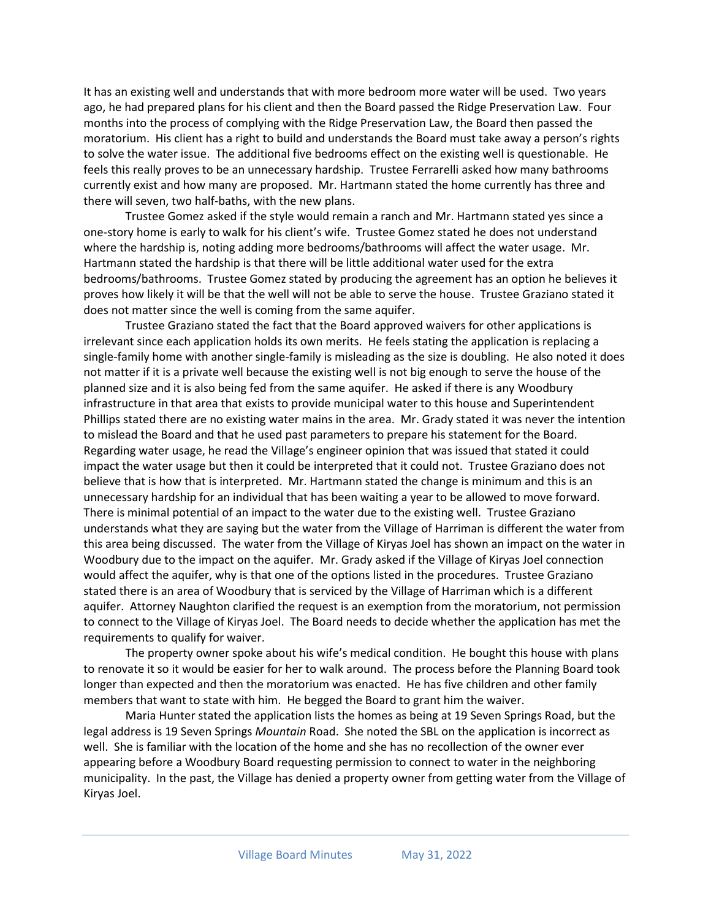It has an existing well and understands that with more bedroom more water will be used. Two years ago, he had prepared plans for his client and then the Board passed the Ridge Preservation Law. Four months into the process of complying with the Ridge Preservation Law, the Board then passed the moratorium. His client has a right to build and understands the Board must take away a person's rights to solve the water issue. The additional five bedrooms effect on the existing well is questionable. He feels this really proves to be an unnecessary hardship. Trustee Ferrarelli asked how many bathrooms currently exist and how many are proposed. Mr. Hartmann stated the home currently has three and there will seven, two half-baths, with the new plans.

Trustee Gomez asked if the style would remain a ranch and Mr. Hartmann stated yes since a one-story home is early to walk for his client's wife. Trustee Gomez stated he does not understand where the hardship is, noting adding more bedrooms/bathrooms will affect the water usage. Mr. Hartmann stated the hardship is that there will be little additional water used for the extra bedrooms/bathrooms. Trustee Gomez stated by producing the agreement has an option he believes it proves how likely it will be that the well will not be able to serve the house. Trustee Graziano stated it does not matter since the well is coming from the same aquifer.

Trustee Graziano stated the fact that the Board approved waivers for other applications is irrelevant since each application holds its own merits. He feels stating the application is replacing a single-family home with another single-family is misleading as the size is doubling. He also noted it does not matter if it is a private well because the existing well is not big enough to serve the house of the planned size and it is also being fed from the same aquifer. He asked if there is any Woodbury infrastructure in that area that exists to provide municipal water to this house and Superintendent Phillips stated there are no existing water mains in the area. Mr. Grady stated it was never the intention to mislead the Board and that he used past parameters to prepare his statement for the Board. Regarding water usage, he read the Village's engineer opinion that was issued that stated it could impact the water usage but then it could be interpreted that it could not. Trustee Graziano does not believe that is how that is interpreted. Mr. Hartmann stated the change is minimum and this is an unnecessary hardship for an individual that has been waiting a year to be allowed to move forward. There is minimal potential of an impact to the water due to the existing well. Trustee Graziano understands what they are saying but the water from the Village of Harriman is different the water from this area being discussed. The water from the Village of Kiryas Joel has shown an impact on the water in Woodbury due to the impact on the aquifer. Mr. Grady asked if the Village of Kiryas Joel connection would affect the aquifer, why is that one of the options listed in the procedures. Trustee Graziano stated there is an area of Woodbury that is serviced by the Village of Harriman which is a different aquifer. Attorney Naughton clarified the request is an exemption from the moratorium, not permission to connect to the Village of Kiryas Joel. The Board needs to decide whether the application has met the requirements to qualify for waiver.

The property owner spoke about his wife's medical condition. He bought this house with plans to renovate it so it would be easier for her to walk around. The process before the Planning Board took longer than expected and then the moratorium was enacted. He has five children and other family members that want to state with him. He begged the Board to grant him the waiver.

Maria Hunter stated the application lists the homes as being at 19 Seven Springs Road, but the legal address is 19 Seven Springs *Mountain* Road. She noted the SBL on the application is incorrect as well. She is familiar with the location of the home and she has no recollection of the owner ever appearing before a Woodbury Board requesting permission to connect to water in the neighboring municipality. In the past, the Village has denied a property owner from getting water from the Village of Kiryas Joel.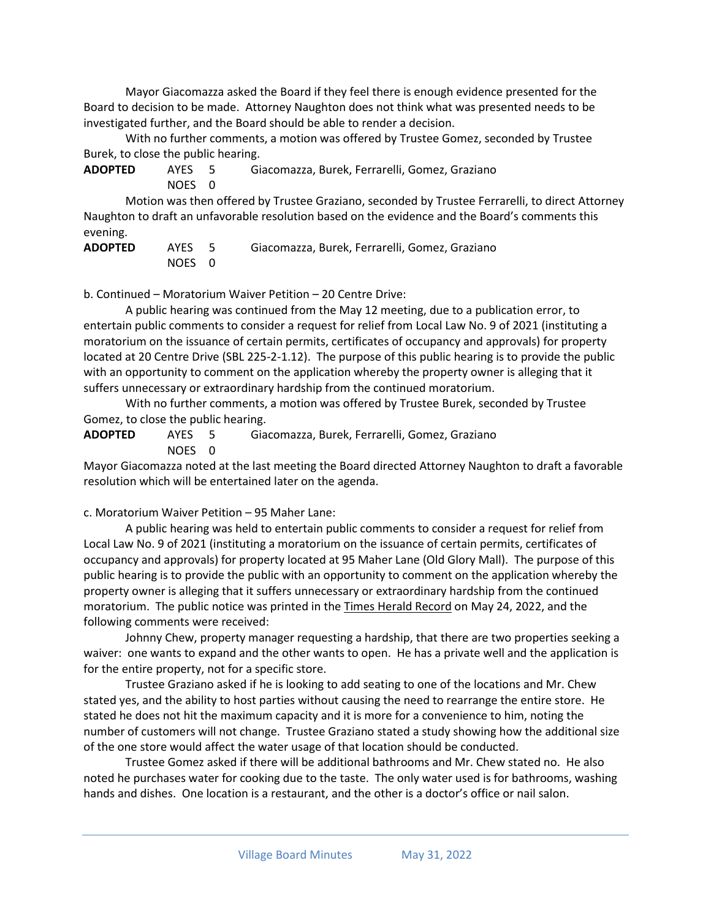Mayor Giacomazza asked the Board if they feel there is enough evidence presented for the Board to decision to be made. Attorney Naughton does not think what was presented needs to be investigated further, and the Board should be able to render a decision.

With no further comments, a motion was offered by Trustee Gomez, seconded by Trustee Burek, to close the public hearing.

**ADOPTED** AYES 5 Giacomazza, Burek, Ferrarelli, Gomez, Graziano NOES 0

Motion was then offered by Trustee Graziano, seconded by Trustee Ferrarelli, to direct Attorney Naughton to draft an unfavorable resolution based on the evidence and the Board's comments this evening.

| <b>ADOPTED</b> | AYES 5 | Giacomazza, Burek, Ferrarelli, Gomez, Graziano |
|----------------|--------|------------------------------------------------|
|                | NOES 0 |                                                |

b. Continued – Moratorium Waiver Petition – 20 Centre Drive:

A public hearing was continued from the May 12 meeting, due to a publication error, to entertain public comments to consider a request for relief from Local Law No. 9 of 2021 (instituting a moratorium on the issuance of certain permits, certificates of occupancy and approvals) for property located at 20 Centre Drive (SBL 225-2-1.12). The purpose of this public hearing is to provide the public with an opportunity to comment on the application whereby the property owner is alleging that it suffers unnecessary or extraordinary hardship from the continued moratorium.

With no further comments, a motion was offered by Trustee Burek, seconded by Trustee Gomez, to close the public hearing.

**ADOPTED** AYES 5 Giacomazza, Burek, Ferrarelli, Gomez, Graziano

NOES 0

Mayor Giacomazza noted at the last meeting the Board directed Attorney Naughton to draft a favorable resolution which will be entertained later on the agenda.

c. Moratorium Waiver Petition – 95 Maher Lane:

A public hearing was held to entertain public comments to consider a request for relief from Local Law No. 9 of 2021 (instituting a moratorium on the issuance of certain permits, certificates of occupancy and approvals) for property located at 95 Maher Lane (Old Glory Mall). The purpose of this public hearing is to provide the public with an opportunity to comment on the application whereby the property owner is alleging that it suffers unnecessary or extraordinary hardship from the continued moratorium. The public notice was printed in the Times Herald Record on May 24, 2022, and the following comments were received:

Johnny Chew, property manager requesting a hardship, that there are two properties seeking a waiver: one wants to expand and the other wants to open. He has a private well and the application is for the entire property, not for a specific store.

Trustee Graziano asked if he is looking to add seating to one of the locations and Mr. Chew stated yes, and the ability to host parties without causing the need to rearrange the entire store. He stated he does not hit the maximum capacity and it is more for a convenience to him, noting the number of customers will not change. Trustee Graziano stated a study showing how the additional size of the one store would affect the water usage of that location should be conducted.

Trustee Gomez asked if there will be additional bathrooms and Mr. Chew stated no. He also noted he purchases water for cooking due to the taste. The only water used is for bathrooms, washing hands and dishes. One location is a restaurant, and the other is a doctor's office or nail salon.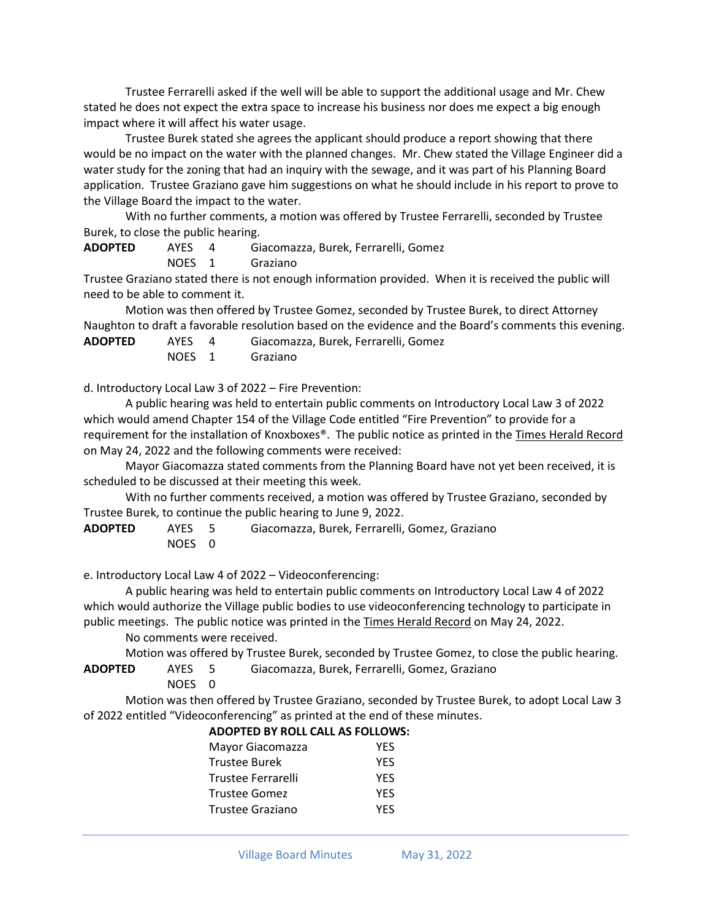Trustee Ferrarelli asked if the well will be able to support the additional usage and Mr. Chew stated he does not expect the extra space to increase his business nor does me expect a big enough impact where it will affect his water usage.

Trustee Burek stated she agrees the applicant should produce a report showing that there would be no impact on the water with the planned changes. Mr. Chew stated the Village Engineer did a water study for the zoning that had an inquiry with the sewage, and it was part of his Planning Board application. Trustee Graziano gave him suggestions on what he should include in his report to prove to the Village Board the impact to the water.

With no further comments, a motion was offered by Trustee Ferrarelli, seconded by Trustee Burek, to close the public hearing.

**ADOPTED** AYES 4 Giacomazza, Burek, Ferrarelli, Gomez NOES 1 Graziano

Trustee Graziano stated there is not enough information provided. When it is received the public will need to be able to comment it.

Motion was then offered by Trustee Gomez, seconded by Trustee Burek, to direct Attorney Naughton to draft a favorable resolution based on the evidence and the Board's comments this evening.

**ADOPTED** AYES 4 Giacomazza, Burek, Ferrarelli, Gomez

NOES 1 Graziano

d. Introductory Local Law 3 of 2022 – Fire Prevention:

A public hearing was held to entertain public comments on Introductory Local Law 3 of 2022 which would amend Chapter 154 of the Village Code entitled "Fire Prevention" to provide for a requirement for the installation of Knoxboxes®. The public notice as printed in the Times Herald Record on May 24, 2022 and the following comments were received:

Mayor Giacomazza stated comments from the Planning Board have not yet been received, it is scheduled to be discussed at their meeting this week.

With no further comments received, a motion was offered by Trustee Graziano, seconded by Trustee Burek, to continue the public hearing to June 9, 2022.

**ADOPTED** AYES 5 Giacomazza, Burek, Ferrarelli, Gomez, Graziano NOES 0

e. Introductory Local Law 4 of 2022 – Videoconferencing:

A public hearing was held to entertain public comments on Introductory Local Law 4 of 2022 which would authorize the Village public bodies to use videoconferencing technology to participate in public meetings. The public notice was printed in the Times Herald Record on May 24, 2022.

No comments were received.

Motion was offered by Trustee Burek, seconded by Trustee Gomez, to close the public hearing. **ADOPTED** AYES 5 Giacomazza, Burek, Ferrarelli, Gomez, Graziano

NOES 0

Motion was then offered by Trustee Graziano, seconded by Trustee Burek, to adopt Local Law 3 of 2022 entitled "Videoconferencing" as printed at the end of these minutes.

# **ADOPTED BY ROLL CALL AS FOLLOWS:**

| Mayor Giacomazza   | YES |
|--------------------|-----|
| Trustee Burek      | YES |
| Trustee Ferrarelli | YES |
| Trustee Gomez      | YES |
| Trustee Graziano   | YES |
|                    |     |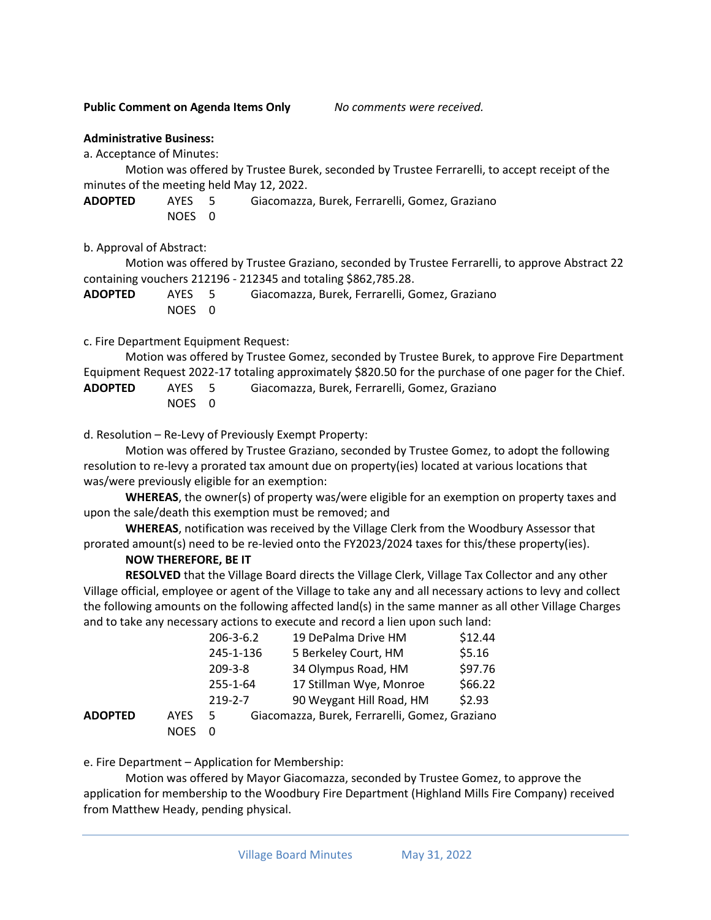#### **Public Comment on Agenda Items Only** *No comments were received.*

#### **Administrative Business:**

a. Acceptance of Minutes:

Motion was offered by Trustee Burek, seconded by Trustee Ferrarelli, to accept receipt of the minutes of the meeting held May 12, 2022.

**ADOPTED** AYES 5 Giacomazza, Burek, Ferrarelli, Gomez, Graziano NOES 0

b. Approval of Abstract:

Motion was offered by Trustee Graziano, seconded by Trustee Ferrarelli, to approve Abstract 22 containing vouchers 212196 - 212345 and totaling \$862,785.28.

| <b>ADOPTED</b> | AYES 5 | Giacomazza, Burek, Ferrarelli, Gomez, Graziano |
|----------------|--------|------------------------------------------------|
|                | NOES 0 |                                                |

### c. Fire Department Equipment Request:

Motion was offered by Trustee Gomez, seconded by Trustee Burek, to approve Fire Department Equipment Request 2022-17 totaling approximately \$820.50 for the purchase of one pager for the Chief.

| <b>ADOPTED</b> | AYES 5 | Giacomazza, Burek, Ferrarelli, Gomez, Graziano |
|----------------|--------|------------------------------------------------|
|                | NOES 0 |                                                |

d. Resolution – Re-Levy of Previously Exempt Property:

Motion was offered by Trustee Graziano, seconded by Trustee Gomez, to adopt the following resolution to re-levy a prorated tax amount due on property(ies) located at various locations that was/were previously eligible for an exemption:

**WHEREAS**, the owner(s) of property was/were eligible for an exemption on property taxes and upon the sale/death this exemption must be removed; and

**WHEREAS**, notification was received by the Village Clerk from the Woodbury Assessor that prorated amount(s) need to be re-levied onto the FY2023/2024 taxes for this/these property(ies).

#### **NOW THEREFORE, BE IT**

**RESOLVED** that the Village Board directs the Village Clerk, Village Tax Collector and any other Village official, employee or agent of the Village to take any and all necessary actions to levy and collect the following amounts on the following affected land(s) in the same manner as all other Village Charges and to take any necessary actions to execute and record a lien upon such land:

|         |             | $206 - 3 - 6.2$ | 19 DePalma Drive HM                            | \$12.44 |
|---------|-------------|-----------------|------------------------------------------------|---------|
|         |             | 245-1-136       | 5 Berkeley Court, HM                           | \$5.16  |
|         |             | $209 - 3 - 8$   | 34 Olympus Road, HM                            | \$97.76 |
|         |             | 255-1-64        | 17 Stillman Wye, Monroe                        | \$66.22 |
|         |             | $219 - 2 - 7$   | 90 Weygant Hill Road, HM                       | \$2.93  |
| ADOPTED | <b>AYES</b> | 5               | Giacomazza, Burek, Ferrarelli, Gomez, Graziano |         |
|         | <b>NOES</b> |                 |                                                |         |

e. Fire Department – Application for Membership:

Motion was offered by Mayor Giacomazza, seconded by Trustee Gomez, to approve the application for membership to the Woodbury Fire Department (Highland Mills Fire Company) received from Matthew Heady, pending physical.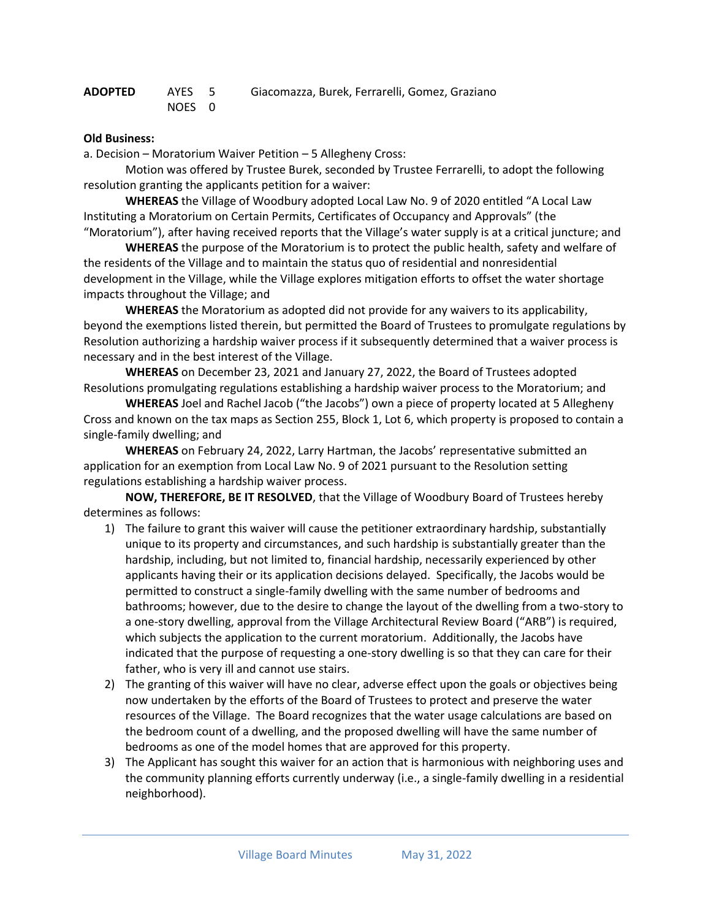| ADOPTED | AYES 5 | Giacomazza, Burek, Ferrarelli, Gomez, Graziano |
|---------|--------|------------------------------------------------|
|         | NOES 0 |                                                |

### **Old Business:**

a. Decision – Moratorium Waiver Petition – 5 Allegheny Cross:

Motion was offered by Trustee Burek, seconded by Trustee Ferrarelli, to adopt the following resolution granting the applicants petition for a waiver:

**WHEREAS** the Village of Woodbury adopted Local Law No. 9 of 2020 entitled "A Local Law Instituting a Moratorium on Certain Permits, Certificates of Occupancy and Approvals" (the "Moratorium"), after having received reports that the Village's water supply is at a critical juncture; and

**WHEREAS** the purpose of the Moratorium is to protect the public health, safety and welfare of the residents of the Village and to maintain the status quo of residential and nonresidential development in the Village, while the Village explores mitigation efforts to offset the water shortage impacts throughout the Village; and

**WHEREAS** the Moratorium as adopted did not provide for any waivers to its applicability, beyond the exemptions listed therein, but permitted the Board of Trustees to promulgate regulations by Resolution authorizing a hardship waiver process if it subsequently determined that a waiver process is necessary and in the best interest of the Village.

**WHEREAS** on December 23, 2021 and January 27, 2022, the Board of Trustees adopted Resolutions promulgating regulations establishing a hardship waiver process to the Moratorium; and

**WHEREAS** Joel and Rachel Jacob ("the Jacobs") own a piece of property located at 5 Allegheny Cross and known on the tax maps as Section 255, Block 1, Lot 6, which property is proposed to contain a single-family dwelling; and

**WHEREAS** on February 24, 2022, Larry Hartman, the Jacobs' representative submitted an application for an exemption from Local Law No. 9 of 2021 pursuant to the Resolution setting regulations establishing a hardship waiver process.

**NOW, THEREFORE, BE IT RESOLVED**, that the Village of Woodbury Board of Trustees hereby determines as follows:

- 1) The failure to grant this waiver will cause the petitioner extraordinary hardship, substantially unique to its property and circumstances, and such hardship is substantially greater than the hardship, including, but not limited to, financial hardship, necessarily experienced by other applicants having their or its application decisions delayed. Specifically, the Jacobs would be permitted to construct a single-family dwelling with the same number of bedrooms and bathrooms; however, due to the desire to change the layout of the dwelling from a two-story to a one-story dwelling, approval from the Village Architectural Review Board ("ARB") is required, which subjects the application to the current moratorium. Additionally, the Jacobs have indicated that the purpose of requesting a one-story dwelling is so that they can care for their father, who is very ill and cannot use stairs.
- 2) The granting of this waiver will have no clear, adverse effect upon the goals or objectives being now undertaken by the efforts of the Board of Trustees to protect and preserve the water resources of the Village. The Board recognizes that the water usage calculations are based on the bedroom count of a dwelling, and the proposed dwelling will have the same number of bedrooms as one of the model homes that are approved for this property.
- 3) The Applicant has sought this waiver for an action that is harmonious with neighboring uses and the community planning efforts currently underway (i.e., a single-family dwelling in a residential neighborhood).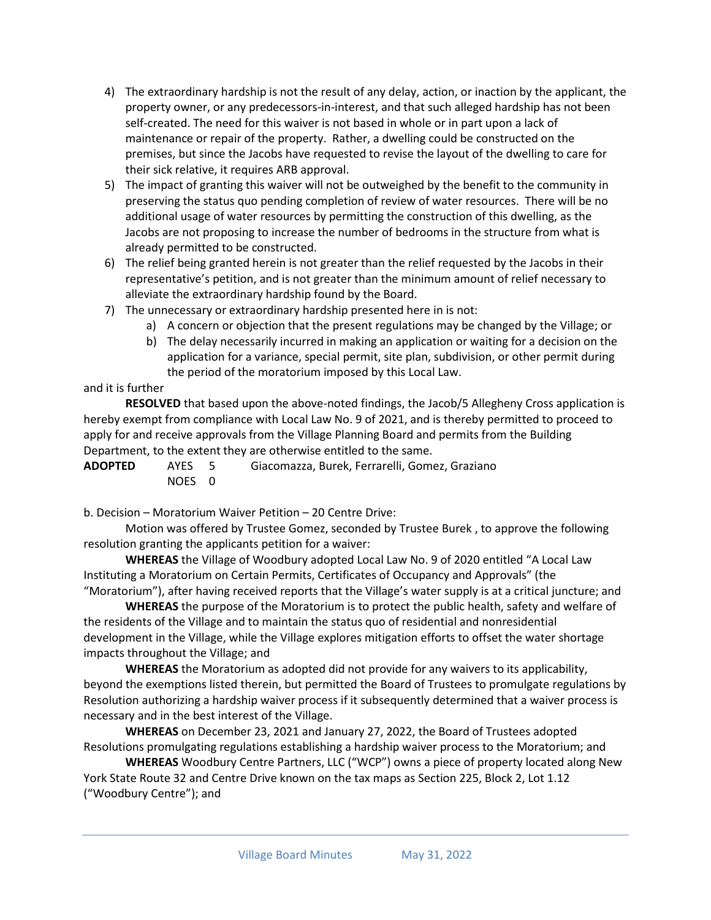- 4) The extraordinary hardship is not the result of any delay, action, or inaction by the applicant, the property owner, or any predecessors-in-interest, and that such alleged hardship has not been self-created. The need for this waiver is not based in whole or in part upon a lack of maintenance or repair of the property. Rather, a dwelling could be constructed on the premises, but since the Jacobs have requested to revise the layout of the dwelling to care for their sick relative, it requires ARB approval.
- 5) The impact of granting this waiver will not be outweighed by the benefit to the community in preserving the status quo pending completion of review of water resources. There will be no additional usage of water resources by permitting the construction of this dwelling, as the Jacobs are not proposing to increase the number of bedrooms in the structure from what is already permitted to be constructed.
- 6) The relief being granted herein is not greater than the relief requested by the Jacobs in their representative's petition, and is not greater than the minimum amount of relief necessary to alleviate the extraordinary hardship found by the Board.
- 7) The unnecessary or extraordinary hardship presented here in is not:
	- a) A concern or objection that the present regulations may be changed by the Village; or
	- b) The delay necessarily incurred in making an application or waiting for a decision on the application for a variance, special permit, site plan, subdivision, or other permit during the period of the moratorium imposed by this Local Law.

# and it is further

**RESOLVED** that based upon the above-noted findings, the Jacob/5 Allegheny Cross application is hereby exempt from compliance with Local Law No. 9 of 2021, and is thereby permitted to proceed to apply for and receive approvals from the Village Planning Board and permits from the Building Department, to the extent they are otherwise entitled to the same.

**ADOPTED** AYES 5 Giacomazza, Burek, Ferrarelli, Gomez, Graziano NOES 0

b. Decision – Moratorium Waiver Petition – 20 Centre Drive:

Motion was offered by Trustee Gomez, seconded by Trustee Burek , to approve the following resolution granting the applicants petition for a waiver:

**WHEREAS** the Village of Woodbury adopted Local Law No. 9 of 2020 entitled "A Local Law Instituting a Moratorium on Certain Permits, Certificates of Occupancy and Approvals" (the "Moratorium"), after having received reports that the Village's water supply is at a critical juncture; and

**WHEREAS** the purpose of the Moratorium is to protect the public health, safety and welfare of the residents of the Village and to maintain the status quo of residential and nonresidential development in the Village, while the Village explores mitigation efforts to offset the water shortage impacts throughout the Village; and

**WHEREAS** the Moratorium as adopted did not provide for any waivers to its applicability, beyond the exemptions listed therein, but permitted the Board of Trustees to promulgate regulations by Resolution authorizing a hardship waiver process if it subsequently determined that a waiver process is necessary and in the best interest of the Village.

**WHEREAS** on December 23, 2021 and January 27, 2022, the Board of Trustees adopted Resolutions promulgating regulations establishing a hardship waiver process to the Moratorium; and

**WHEREAS** Woodbury Centre Partners, LLC ("WCP") owns a piece of property located along New York State Route 32 and Centre Drive known on the tax maps as Section 225, Block 2, Lot 1.12 ("Woodbury Centre"); and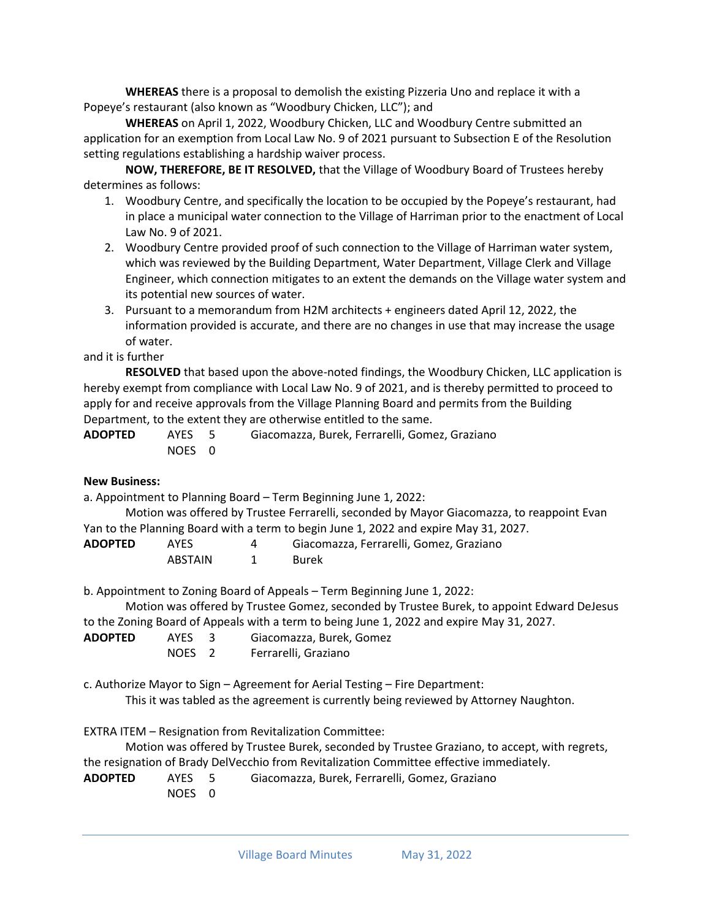**WHEREAS** there is a proposal to demolish the existing Pizzeria Uno and replace it with a Popeye's restaurant (also known as "Woodbury Chicken, LLC"); and

**WHEREAS** on April 1, 2022, Woodbury Chicken, LLC and Woodbury Centre submitted an application for an exemption from Local Law No. 9 of 2021 pursuant to Subsection E of the Resolution setting regulations establishing a hardship waiver process.

**NOW, THEREFORE, BE IT RESOLVED,** that the Village of Woodbury Board of Trustees hereby determines as follows:

- 1. Woodbury Centre, and specifically the location to be occupied by the Popeye's restaurant, had in place a municipal water connection to the Village of Harriman prior to the enactment of Local Law No. 9 of 2021.
- 2. Woodbury Centre provided proof of such connection to the Village of Harriman water system, which was reviewed by the Building Department, Water Department, Village Clerk and Village Engineer, which connection mitigates to an extent the demands on the Village water system and its potential new sources of water.
- 3. Pursuant to a memorandum from H2M architects + engineers dated April 12, 2022, the information provided is accurate, and there are no changes in use that may increase the usage of water.

and it is further

**RESOLVED** that based upon the above-noted findings, the Woodbury Chicken, LLC application is hereby exempt from compliance with Local Law No. 9 of 2021, and is thereby permitted to proceed to apply for and receive approvals from the Village Planning Board and permits from the Building Department, to the extent they are otherwise entitled to the same.

| <b>ADOPTED</b> | AYES 5 | Giacomazza, Burek, Ferrarelli, Gomez, Graziano |
|----------------|--------|------------------------------------------------|
|                | NOES 0 |                                                |

#### **New Business:**

a. Appointment to Planning Board – Term Beginning June 1, 2022: Motion was offered by Trustee Ferrarelli, seconded by Mayor Giacomazza, to reappoint Evan Yan to the Planning Board with a term to begin June 1, 2022 and expire May 31, 2027. **ADOPTED** AYES 4 Giacomazza, Ferrarelli, Gomez, Graziano ABSTAIN 1 Burek b. Appointment to Zoning Board of Appeals – Term Beginning June 1, 2022: Motion was offered by Trustee Gomez, seconded by Trustee Burek, to appoint Edward DeJesus to the Zoning Board of Appeals with a term to being June 1, 2022 and expire May 31, 2027. **ADOPTED** AYES 3 Giacomazza, Burek, Gomez NOES 2 Ferrarelli, Graziano c. Authorize Mayor to Sign – Agreement for Aerial Testing – Fire Department: This it was tabled as the agreement is currently being reviewed by Attorney Naughton.

EXTRA ITEM – Resignation from Revitalization Committee:

Motion was offered by Trustee Burek, seconded by Trustee Graziano, to accept, with regrets, the resignation of Brady DelVecchio from Revitalization Committee effective immediately.

```
ADOPTED AYES 5 Giacomazza, Burek, Ferrarelli, Gomez, Graziano
```
NOES 0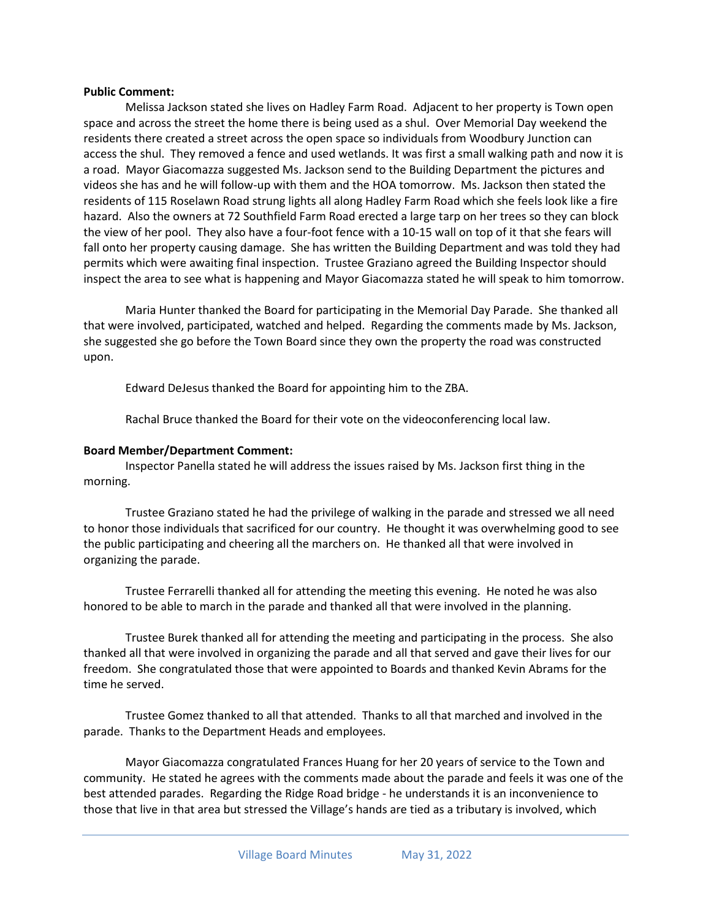#### **Public Comment:**

Melissa Jackson stated she lives on Hadley Farm Road. Adjacent to her property is Town open space and across the street the home there is being used as a shul. Over Memorial Day weekend the residents there created a street across the open space so individuals from Woodbury Junction can access the shul. They removed a fence and used wetlands. It was first a small walking path and now it is a road. Mayor Giacomazza suggested Ms. Jackson send to the Building Department the pictures and videos she has and he will follow-up with them and the HOA tomorrow. Ms. Jackson then stated the residents of 115 Roselawn Road strung lights all along Hadley Farm Road which she feels look like a fire hazard. Also the owners at 72 Southfield Farm Road erected a large tarp on her trees so they can block the view of her pool. They also have a four-foot fence with a 10-15 wall on top of it that she fears will fall onto her property causing damage. She has written the Building Department and was told they had permits which were awaiting final inspection. Trustee Graziano agreed the Building Inspector should inspect the area to see what is happening and Mayor Giacomazza stated he will speak to him tomorrow.

Maria Hunter thanked the Board for participating in the Memorial Day Parade. She thanked all that were involved, participated, watched and helped. Regarding the comments made by Ms. Jackson, she suggested she go before the Town Board since they own the property the road was constructed upon.

Edward DeJesus thanked the Board for appointing him to the ZBA.

Rachal Bruce thanked the Board for their vote on the videoconferencing local law.

### **Board Member/Department Comment:**

Inspector Panella stated he will address the issues raised by Ms. Jackson first thing in the morning.

Trustee Graziano stated he had the privilege of walking in the parade and stressed we all need to honor those individuals that sacrificed for our country. He thought it was overwhelming good to see the public participating and cheering all the marchers on. He thanked all that were involved in organizing the parade.

Trustee Ferrarelli thanked all for attending the meeting this evening. He noted he was also honored to be able to march in the parade and thanked all that were involved in the planning.

Trustee Burek thanked all for attending the meeting and participating in the process. She also thanked all that were involved in organizing the parade and all that served and gave their lives for our freedom. She congratulated those that were appointed to Boards and thanked Kevin Abrams for the time he served.

Trustee Gomez thanked to all that attended. Thanks to all that marched and involved in the parade. Thanks to the Department Heads and employees.

Mayor Giacomazza congratulated Frances Huang for her 20 years of service to the Town and community. He stated he agrees with the comments made about the parade and feels it was one of the best attended parades. Regarding the Ridge Road bridge - he understands it is an inconvenience to those that live in that area but stressed the Village's hands are tied as a tributary is involved, which